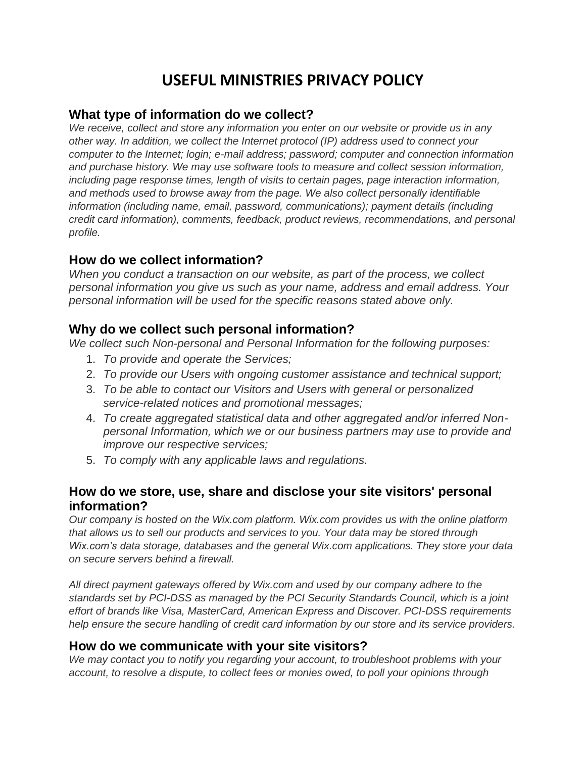# **USEFUL MINISTRIES PRIVACY POLICY**

### **What type of information do we collect?**

*We receive, collect and store any information you enter on our website or provide us in any other way. In addition, we collect the Internet protocol (IP) address used to connect your computer to the Internet; login; e-mail address; password; computer and connection information and purchase history. We may use software tools to measure and collect session information, including page response times, length of visits to certain pages, page interaction information, and methods used to browse away from the page. We also collect personally identifiable information (including name, email, password, communications); payment details (including credit card information), comments, feedback, product reviews, recommendations, and personal profile.*

# **How do we collect information?**

*When you conduct a transaction on our website, as part of the process, we collect personal information you give us such as your name, address and email address. Your personal information will be used for the specific reasons stated above only.*

## **Why do we collect such personal information?**

*We collect such Non-personal and Personal Information for the following purposes:*

- 1. *To provide and operate the Services;*
- 2. *To provide our Users with ongoing customer assistance and technical support;*
- 3. *To be able to contact our Visitors and Users with general or personalized service-related notices and promotional messages;*
- 4. *To create aggregated statistical data and other aggregated and/or inferred Nonpersonal Information, which we or our business partners may use to provide and improve our respective services;*
- 5. *To comply with any applicable laws and regulations.*

## **How do we store, use, share and disclose your site visitors' personal information?**

*Our company is hosted on the Wix.com platform. Wix.com provides us with the online platform that allows us to sell our products and services to you. Your data may be stored through Wix.com's data storage, databases and the general Wix.com applications. They store your data on secure servers behind a firewall.*

*All direct payment gateways offered by Wix.com and used by our company adhere to the standards set by PCI-DSS as managed by the PCI Security Standards Council, which is a joint effort of brands like Visa, MasterCard, American Express and Discover. PCI-DSS requirements help ensure the secure handling of credit card information by our store and its service providers.*

#### **How do we communicate with your site visitors?**

*We may contact you to notify you regarding your account, to troubleshoot problems with your account, to resolve a dispute, to collect fees or monies owed, to poll your opinions through*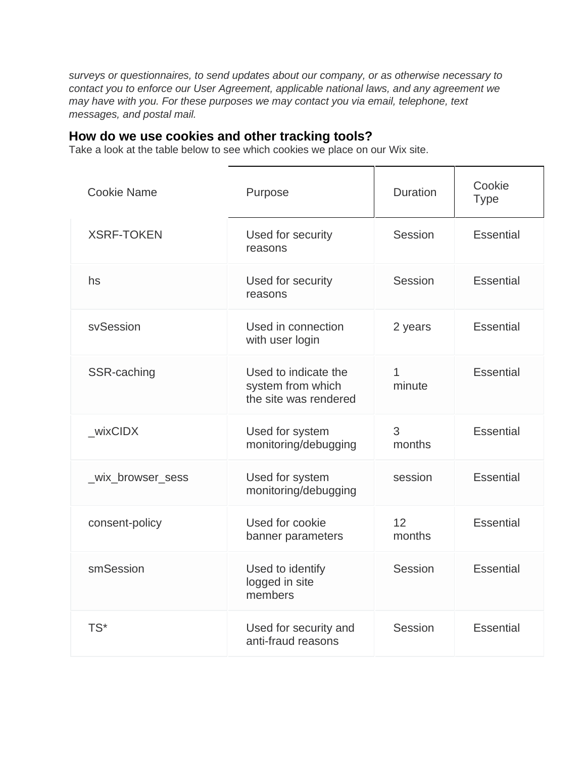*surveys or questionnaires, to send updates about our company, or as otherwise necessary to contact you to enforce our User Agreement, applicable national laws, and any agreement we*  may have with you. For these purposes we may contact you via email, telephone, text *messages, and postal mail.*

## **How do we use cookies and other tracking tools?**

Take a look at the table below to see which cookies we place on our Wix site.

| Cookie Name       | Purpose                                                            | <b>Duration</b> | Cookie<br><b>Type</b> |
|-------------------|--------------------------------------------------------------------|-----------------|-----------------------|
| <b>XSRF-TOKEN</b> | Used for security<br>reasons                                       | Session         | <b>Essential</b>      |
| hs                | Used for security<br>reasons                                       | Session         | <b>Essential</b>      |
| svSession         | Used in connection<br>with user login                              | 2 years         | <b>Essential</b>      |
| SSR-caching       | Used to indicate the<br>system from which<br>the site was rendered | 1<br>minute     | Essential             |
| wixCIDX           | Used for system<br>monitoring/debugging                            | 3<br>months     | Essential             |
| _wix_browser_sess | Used for system<br>monitoring/debugging                            | session         | <b>Essential</b>      |
| consent-policy    | Used for cookie<br>banner parameters                               | 12<br>months    | <b>Essential</b>      |
| smSession         | Used to identify<br>logged in site<br>members                      | Session         | <b>Essential</b>      |
| TS*               | Used for security and<br>anti-fraud reasons                        | Session         | <b>Essential</b>      |